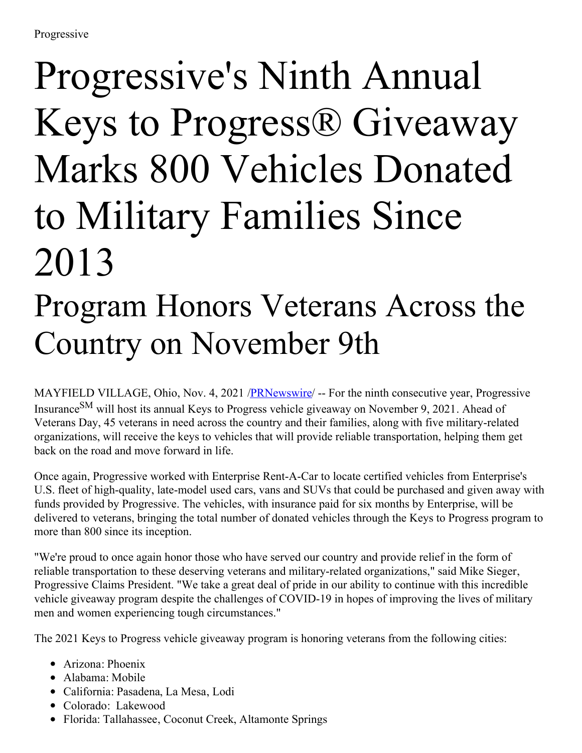## Progressive's Ninth Annual Keys to Progress® Giveaway Marks 800 Vehicles Donated to Military Families Since 2013

## Program Honors Veterans Across the Country on November 9th

MAYFIELD VILLAGE, Ohio, Nov. 4, 2021 /**PRNewswire/** -- For the ninth consecutive year, Progressive Insurance<sup>SM</sup> will host its annual Keys to Progress vehicle giveaway on November 9, 2021. Ahead of Veterans Day, 45 veterans in need across the country and their families, along with five military-related organizations, will receive the keys to vehicles that will provide reliable transportation, helping them get back on the road and move forward in life.

Once again, Progressive worked with Enterprise Rent-A-Car to locate certified vehicles from Enterprise's U.S. fleet of high-quality, late-model used cars, vans and SUVs that could be purchased and given away with funds provided by Progressive. The vehicles, with insurance paid for six months by Enterprise, will be delivered to veterans, bringing the total number of donated vehicles through the Keys to Progress program to more than 800 since its inception.

"We're proud to once again honor those who have served our country and provide relief in the form of reliable transportation to these deserving veterans and military-related organizations," said Mike Sieger, Progressive Claims President. "We take a great deal of pride in our ability to continue with this incredible vehicle giveaway program despite the challenges of COVID-19 in hopes of improving the lives of military men and women experiencing tough circumstances."

The 2021 Keys to Progress vehicle giveaway program is honoring veterans from the following cities:

- Arizona: Phoenix
- Alabama: Mobile
- California: Pasadena, La Mesa, Lodi
- Colorado: Lakewood
- Florida: Tallahassee, Coconut Creek, Altamonte Springs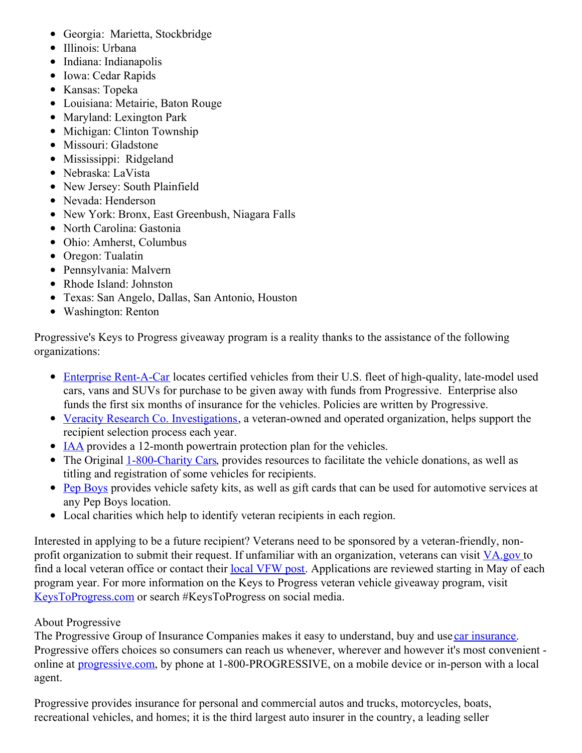- Georgia: Marietta, Stockbridge
- Illinois: Urbana
- Indiana: Indianapolis
- Iowa: Cedar Rapids
- Kansas: Topeka
- Louisiana: Metairie, Baton Rouge
- Maryland: Lexington Park
- Michigan: Clinton Township
- Missouri: Gladstone
- Mississippi: Ridgeland
- Nebraska: LaVista
- New Jersey: South Plainfield
- Nevada: Henderson
- New York: Bronx, East Greenbush, Niagara Falls
- North Carolina: Gastonia
- Ohio: Amherst, Columbus
- Oregon: Tualatin
- Pennsylvania: Malvern
- Rhode Island: Johnston
- Texas: San Angelo, Dallas, San Antonio, Houston
- Washington: Renton

Progressive's Keys to Progress giveaway program is a reality thanks to the assistance of the following organizations:

- Enterprise [Rent-A-Car](https://c212.net/c/link/?t=0&l=en&o=3347656-1&h=1407972128&u=https%3A%2F%2Fwww.enterprise.com%2Fen%2Fabout.html%3Ficid%3Dheader.learn.company-_-about-_-ENUS.NULL&a=Enterprise+Rent-A-Car) locates certified vehicles from their U.S. fleet of high-quality, late-model used cars, vans and SUVs for purchase to be given away with funds from Progressive. Enterprise also funds the first six months of insurance for the vehicles. Policies are written by Progressive.
- Veracity Research Co. [Investigations](https://c212.net/c/link/?t=0&l=en&o=3347656-1&h=3116301809&u=https%3A%2F%2Fwww.vrcinvestigations.com%2F&a=Veracity+Research+Co.+Investigations), a veteran-owned and operated organization, helps support the recipient selection process each year.
- [IAA](https://c212.net/c/link/?t=0&l=en&o=3347656-1&h=1782404951&u=https%3A%2F%2Fwww.iaai.com%2F&a=IAA) provides a 12-month powertrain protection plan for the vehicles.
- The Original [1-800-Charity](https://c212.net/c/link/?t=0&l=en&o=3347656-1&h=333975012&u=http%3A%2F%2Fwww.800charitycars.org%2F&a=1-800-Charity+Cars) Cars, provides resources to facilitate the vehicle donations, as well as titling and registration of some vehicles for recipients.
- Pep [Boys](https://c212.net/c/link/?t=0&l=en&o=3347656-1&h=329879023&u=https%3A%2F%2Fwww.pepboys.com%2F&a=Pep+Boys) provides vehicle safety kits, as well as gift cards that can be used for automotive services at any Pep Boys location.
- Local charities which help to identify veteran recipients in each region.

Interested in applying to be a future recipient? Veterans need to be sponsored by a veteran-friendly, non-profit organization to submit their request. If unfamiliar with an organization, veterans can visit [VA.gov](https://c212.net/c/link/?t=0&l=en&o=3347656-1&h=2317802153&u=http%3A%2F%2Fwww.va.gov%2F&a=VA.gov%C2%A0) to find a local veteran office or contact their <u>local [VFW](https://c212.net/c/link/?t=0&l=en&o=3347656-1&h=2602076253&u=https%3A%2F%2Fwww.vfw.org%2Ffind-a-post&a=local+VFW+post) post</u>. Applications are reviewed starting in May of each program year. For more information on the Keys to Progress veteran vehicle giveaway program, visit [KeysToProgress.com](https://c212.net/c/link/?t=0&l=en&o=3347656-1&h=688644978&u=https%3A%2F%2Fwww.progressive.com%2Fsocialresponsibility%2Fkeys-to-progress.html&a=KeysToProgress.com) or search #KeysToProgress on social media.

## About Progressive

The Progressive Group of Insurance Companies makes it easy to understand, buy and use car [insurance](https://c212.net/c/link/?t=0&l=en&o=3347656-1&h=3793734768&u=https%3A%2F%2Fwww.progressive.com%2Fauto%2F&a=car+insurance). Progressive offers choices so consumers can reach us whenever, wherever and however it's most convenient online at [progressive.com,](https://c212.net/c/link/?t=0&l=en&o=3347656-1&h=3819675610&u=https%3A%2F%2Fwww.progressive.com%2Fhome%2Fhome%2F&a=progressive.com) by phone at 1-800-PROGRESSIVE, on a mobile device or in-person with a local agent.

Progressive provides insurance for personal and commercial autos and trucks, motorcycles, boats, recreational vehicles, and homes; it is the third largest auto insurer in the country, a leading seller